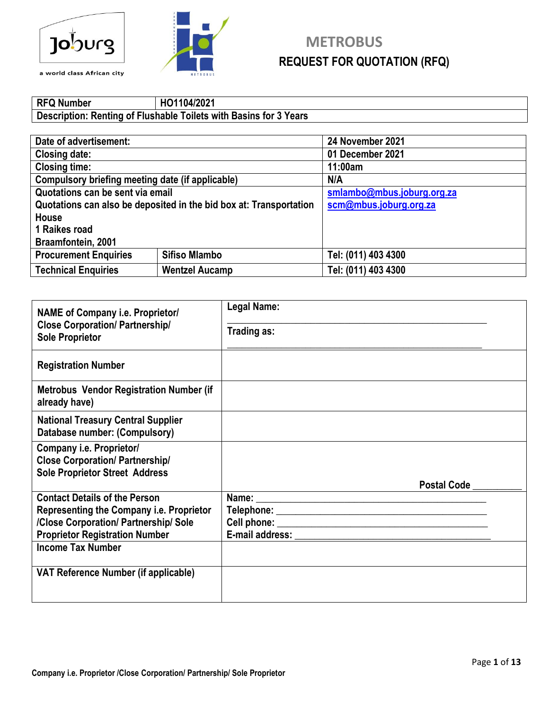



#### **RFQ Number HO1104/2021 Description: Renting of Flushable Toilets with Basins for 3 Years**

| Date of advertisement:                                             |                       | 24 November 2021           |  |
|--------------------------------------------------------------------|-----------------------|----------------------------|--|
| <b>Closing date:</b>                                               |                       | 01 December 2021           |  |
| <b>Closing time:</b>                                               |                       | 11:00am                    |  |
| Compulsory briefing meeting date (if applicable)                   |                       | N/A                        |  |
| Quotations can be sent via email                                   |                       | smlambo@mbus.joburg.org.za |  |
| Quotations can also be deposited in the bid box at: Transportation |                       | scm@mbus.joburg.org.za     |  |
| House                                                              |                       |                            |  |
| 1 Raikes road                                                      |                       |                            |  |
| Braamfontein, 2001                                                 |                       |                            |  |
| <b>Procurement Enquiries</b>                                       | <b>Sifiso Mlambo</b>  | Tel: (011) 403 4300        |  |
| <b>Technical Enquiries</b>                                         | <b>Wentzel Aucamp</b> | Tel: (011) 403 4300        |  |

| <b>NAME of Company i.e. Proprietor/</b>                                    | Legal Name:        |
|----------------------------------------------------------------------------|--------------------|
| <b>Close Corporation/ Partnership/</b><br><b>Sole Proprietor</b>           | Trading as:        |
| <b>Registration Number</b>                                                 |                    |
| <b>Metrobus Vendor Registration Number (if</b><br>already have)            |                    |
| <b>National Treasury Central Supplier</b><br>Database number: (Compulsory) |                    |
| Company i.e. Proprietor/                                                   |                    |
| <b>Close Corporation/ Partnership/</b>                                     |                    |
| <b>Sole Proprietor Street Address</b>                                      |                    |
|                                                                            | <b>Postal Code</b> |
| <b>Contact Details of the Person</b>                                       |                    |
| <b>Representing the Company i.e. Proprietor</b>                            |                    |
| /Close Corporation/ Partnership/ Sole                                      |                    |
| <b>Proprietor Registration Number</b>                                      |                    |
| <b>Income Tax Number</b>                                                   |                    |
| VAT Reference Number (if applicable)                                       |                    |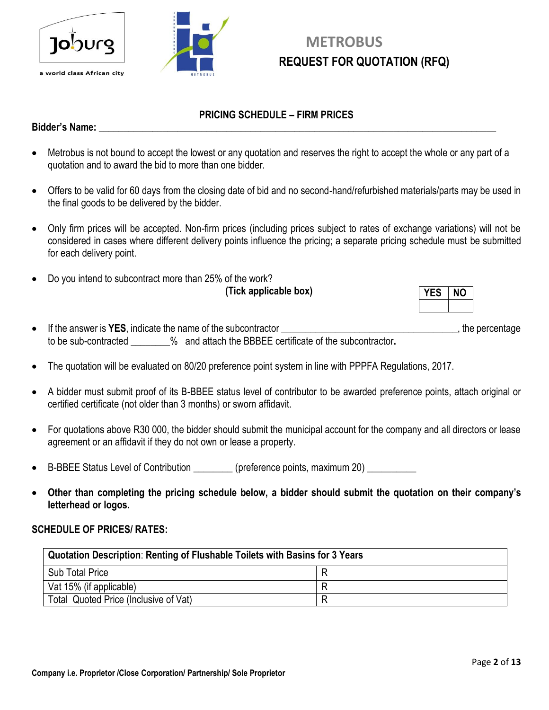



### **METROBUS REQUEST FOR QUOTATION (RFQ)**

#### **PRICING SCHEDULE – FIRM PRICES**

#### **Bidder's Name: \_\_\_\_\_\_\_\_\_\_\_\_\_\_\_\_\_\_\_\_\_\_\_\_\_\_\_\_\_\_\_\_\_\_\_\_\_\_\_\_\_\_\_\_\_\_\_\_\_\_\_\_\_\_\_\_\_\_\_\_\_\_\_\_\_\_\_\_\_\_\_\_\_\_\_\_\_\_\_\_\_**

- Metrobus is not bound to accept the lowest or any quotation and reserves the right to accept the whole or any part of a quotation and to award the bid to more than one bidder.
- Offers to be valid for 60 days from the closing date of bid and no second-hand/refurbished materials/parts may be used in the final goods to be delivered by the bidder.
- Only firm prices will be accepted. Non-firm prices (including prices subject to rates of exchange variations) will not be considered in cases where different delivery points influence the pricing; a separate pricing schedule must be submitted for each delivery point.
- Do you intend to subcontract more than 25% of the work?

**(Tick applicable box)**

- If the answer is YES, indicate the name of the subcontractor **we are all the substitution**, the percentage to be sub-contracted \_\_\_\_\_\_\_\_% and attach the BBBEE certificate of the subcontractor**.**
- The quotation will be evaluated on 80/20 preference point system in line with PPPFA Regulations, 2017.
- A bidder must submit proof of its B-BBEE status level of contributor to be awarded preference points, attach original or certified certificate (not older than 3 months) or sworn affidavit.
- For quotations above R30 000, the bidder should submit the municipal account for the company and all directors or lease agreement or an affidavit if they do not own or lease a property.
- B-BBEE Status Level of Contribution \_\_\_\_\_\_\_\_\_ (preference points, maximum 20) \_\_\_\_\_\_\_\_\_\_
- **Other than completing the pricing schedule below, a bidder should submit the quotation on their company's letterhead or logos.**

#### **SCHEDULE OF PRICES/ RATES:**

| Quotation Description: Renting of Flushable Toilets with Basins for 3 Years |  |  |
|-----------------------------------------------------------------------------|--|--|
| <b>Sub Total Price</b>                                                      |  |  |
| Vat 15% (if applicable)                                                     |  |  |
| Total Quoted Price (Inclusive of Vat)                                       |  |  |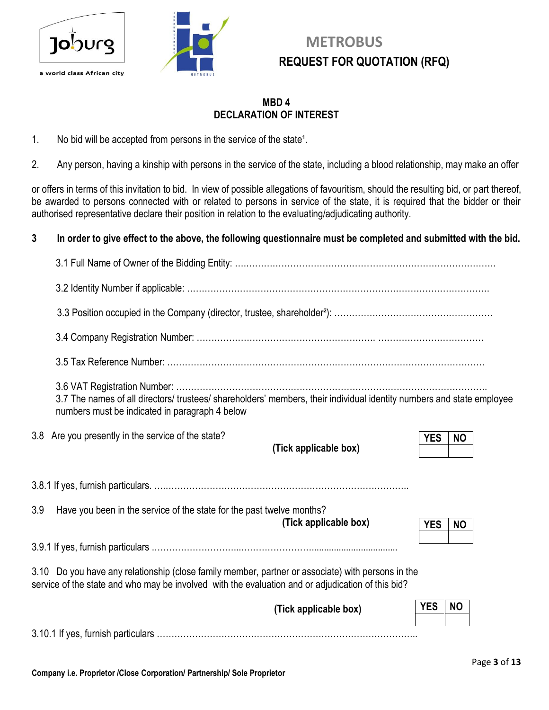



#### **MBD 4 DECLARATION OF INTEREST**

- 1. No bid will be accepted from persons in the service of the state<sup>1</sup>.
- 2. Any person, having a kinship with persons in the service of the state, including a blood relationship, may make an offer

or offers in terms of this invitation to bid. In view of possible allegations of favouritism, should the resulting bid, or part thereof, be awarded to persons connected with or related to persons in service of the state, it is required that the bidder or their authorised representative declare their position in relation to the evaluating/adjudicating authority.

#### **3 In order to give effect to the above, the following questionnaire must be completed and submitted with the bid.**

|     | 3.7 The names of all directors/ trustees/ shareholders' members, their individual identity numbers and state employee<br>numbers must be indicated in paragraph 4 below                                |                         |
|-----|--------------------------------------------------------------------------------------------------------------------------------------------------------------------------------------------------------|-------------------------|
|     | 3.8 Are you presently in the service of the state?<br>(Tick applicable box)                                                                                                                            | <b>YES</b><br><b>NO</b> |
|     |                                                                                                                                                                                                        |                         |
| 3.9 | Have you been in the service of the state for the past twelve months?<br>(Tick applicable box)                                                                                                         | <b>YES</b><br><b>NO</b> |
|     |                                                                                                                                                                                                        |                         |
|     | 3.10 Do you have any relationship (close family member, partner or associate) with persons in the<br>service of the state and who may be involved with the evaluation and or adjudication of this bid? |                         |
|     | (Tick applicable box)                                                                                                                                                                                  | <b>YES</b><br><b>NO</b> |
|     |                                                                                                                                                                                                        |                         |
|     |                                                                                                                                                                                                        |                         |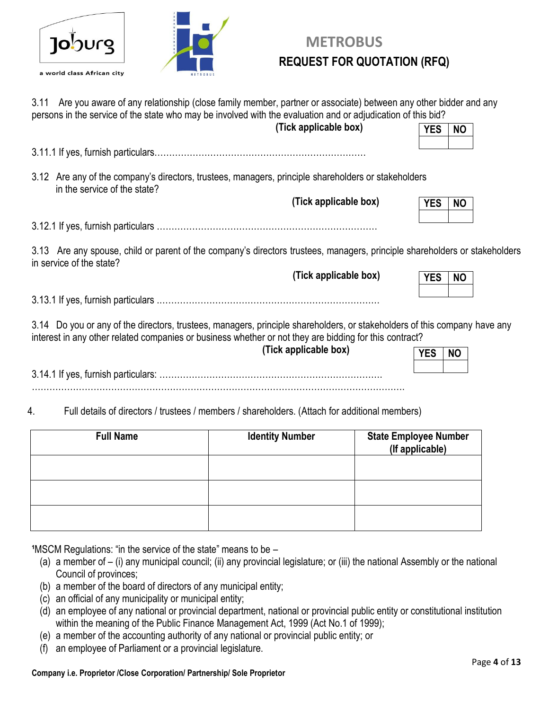



| Are you aware of any relationship (close family member, partner or associate) between any other bidder and any<br>3.11<br>persons in the service of the state who may be involved with the evaluation and or adjudication of this bid? |            |           |  |
|----------------------------------------------------------------------------------------------------------------------------------------------------------------------------------------------------------------------------------------|------------|-----------|--|
| (Tick applicable box)                                                                                                                                                                                                                  | <b>YES</b> | <b>NO</b> |  |
|                                                                                                                                                                                                                                        |            |           |  |
| 3.12 Are any of the company's directors, trustees, managers, principle shareholders or stakeholders<br>in the service of the state?                                                                                                    |            |           |  |
| (Tick applicable box)                                                                                                                                                                                                                  | <b>YES</b> | <b>NO</b> |  |
|                                                                                                                                                                                                                                        |            |           |  |
| 3.13 Are any spouse, child or parent of the company's directors trustees, managers, principle shareholders or stakeholders<br>in service of the state?                                                                                 |            |           |  |
| (Tick applicable box)                                                                                                                                                                                                                  | <b>YES</b> | <b>NO</b> |  |
|                                                                                                                                                                                                                                        |            |           |  |
| 3.14 Do you or any of the directors, trustees, managers, principle shareholders, or stakeholders of this company have any<br>interest in any other related companies or business whether or not they are bidding for this contract?    |            |           |  |
| (Tick applicable box)                                                                                                                                                                                                                  | <b>YES</b> | <b>NO</b> |  |

3.14.1 If yes, furnish particulars: …………………………………………………………………. ……………………………………………………………………………………………………………….

4. Full details of directors / trustees / members / shareholders. (Attach for additional members)

| <b>Full Name</b> | <b>Identity Number</b> | <b>State Employee Number</b><br>(If applicable) |
|------------------|------------------------|-------------------------------------------------|
|                  |                        |                                                 |
|                  |                        |                                                 |
|                  |                        |                                                 |

**<sup>1</sup>MSCM Regulations: "in the service of the state" means to be –** 

- (a) a member of (i) any municipal council; (ii) any provincial legislature; or (iii) the national Assembly or the national Council of provinces;
- (b) a member of the board of directors of any municipal entity;
- (c) an official of any municipality or municipal entity;
- (d) an employee of any national or provincial department, national or provincial public entity or constitutional institution within the meaning of the Public Finance Management Act, 1999 (Act No.1 of 1999);
- (e) a member of the accounting authority of any national or provincial public entity; or
- (f) an employee of Parliament or a provincial legislature.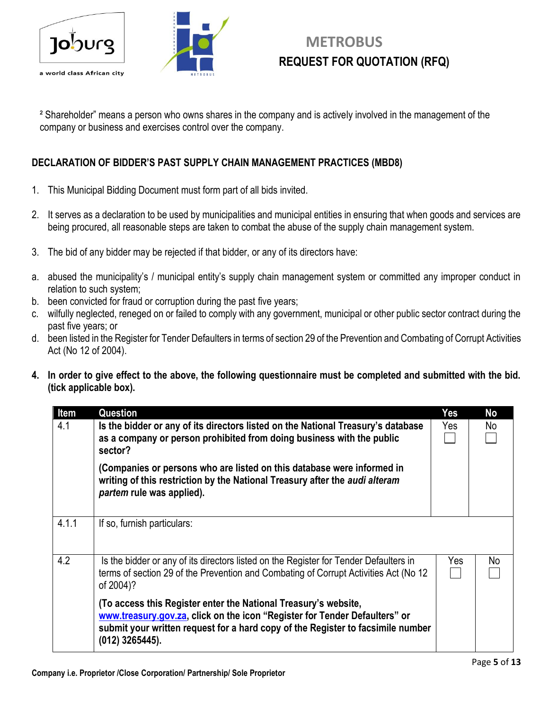



² Shareholder" means a person who owns shares in the company and is actively involved in the management of the company or business and exercises control over the company.

#### **DECLARATION OF BIDDER'S PAST SUPPLY CHAIN MANAGEMENT PRACTICES (MBD8)**

- 1. This Municipal Bidding Document must form part of all bids invited.
- 2. It serves as a declaration to be used by municipalities and municipal entities in ensuring that when goods and services are being procured, all reasonable steps are taken to combat the abuse of the supply chain management system.
- 3. The bid of any bidder may be rejected if that bidder, or any of its directors have:
- a. abused the municipality's / municipal entity's supply chain management system or committed any improper conduct in relation to such system;
- b. been convicted for fraud or corruption during the past five years;
- c. wilfully neglected, reneged on or failed to comply with any government, municipal or other public sector contract during the past five years; or
- d. been listed in the Register for Tender Defaulters in terms of section 29 of the Prevention and Combating of Corrupt Activities Act (No 12 of 2004).
- **4. In order to give effect to the above, the following questionnaire must be completed and submitted with the bid. (tick applicable box).**

| Item  | Question                                                                                                                                                                                                                                              | Yes | No  |
|-------|-------------------------------------------------------------------------------------------------------------------------------------------------------------------------------------------------------------------------------------------------------|-----|-----|
| 4.1   | Is the bidder or any of its directors listed on the National Treasury's database<br>as a company or person prohibited from doing business with the public<br>sector?                                                                                  | Yes | No  |
|       | (Companies or persons who are listed on this database were informed in<br>writing of this restriction by the National Treasury after the audi alteram<br>partem rule was applied).                                                                    |     |     |
| 4.1.1 | If so, furnish particulars:                                                                                                                                                                                                                           |     |     |
| 4.2   | Is the bidder or any of its directors listed on the Register for Tender Defaulters in<br>terms of section 29 of the Prevention and Combating of Corrupt Activities Act (No 12<br>of 2004)?                                                            | Yes | No. |
|       | (To access this Register enter the National Treasury's website,<br>www.treasury.gov.za, click on the icon "Register for Tender Defaulters" or<br>submit your written request for a hard copy of the Register to facsimile number<br>$(012)$ 3265445). |     |     |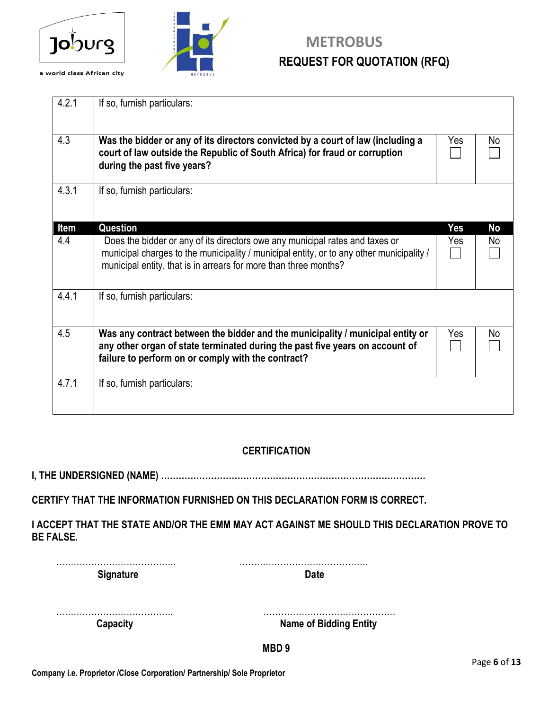



| 4.2.1 | If so, furnish particulars:                                                              |            |           |
|-------|------------------------------------------------------------------------------------------|------------|-----------|
|       |                                                                                          |            |           |
|       |                                                                                          |            |           |
| 4.3   | Was the bidder or any of its directors convicted by a court of law (including a          | Yes        | No        |
|       | court of law outside the Republic of South Africa) for fraud or corruption               |            |           |
|       | during the past five years?                                                              |            |           |
|       |                                                                                          |            |           |
| 4.3.1 | If so, furnish particulars:                                                              |            |           |
|       |                                                                                          |            |           |
|       |                                                                                          |            |           |
| Item  | Question                                                                                 | <b>Yes</b> | <b>No</b> |
| 4.4   | Does the bidder or any of its directors owe any municipal rates and taxes or             | Yes        | No        |
|       | municipal charges to the municipality / municipal entity, or to any other municipality / |            |           |
|       | municipal entity, that is in arrears for more than three months?                         |            |           |
|       |                                                                                          |            |           |
| 4.4.1 | If so, furnish particulars:                                                              |            |           |
|       |                                                                                          |            |           |
|       |                                                                                          |            |           |
| 4.5   | Was any contract between the bidder and the municipality / municipal entity or           | Yes        | No        |
|       | any other organ of state terminated during the past five years on account of             |            |           |
|       | failure to perform on or comply with the contract?                                       |            |           |
|       |                                                                                          |            |           |
| 4.7.1 | If so, furnish particulars:                                                              |            |           |
|       |                                                                                          |            |           |
|       |                                                                                          |            |           |
|       |                                                                                          |            |           |

#### **CERTIFICATION**

**I, THE UNDERSIGNED (NAME) ………………………………………………………………………………**

**CERTIFY THAT THE INFORMATION FURNISHED ON THIS DECLARATION FORM IS CORRECT.**

**I ACCEPT THAT THE STATE AND/OR THE EMM MAY ACT AGAINST ME SHOULD THIS DECLARATION PROVE TO BE FALSE.**

| <b>Signature</b> | <b>Date</b>                   |
|------------------|-------------------------------|
|                  |                               |
| Capacity         | <b>Name of Bidding Entity</b> |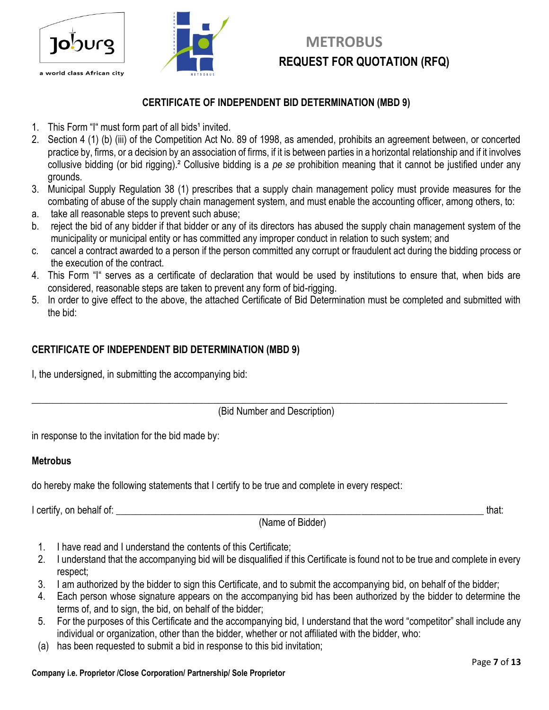



#### **CERTIFICATE OF INDEPENDENT BID DETERMINATION (MBD 9)**

- 1. This Form "I" must form part of all bids<sup>1</sup> invited.
- 2. Section 4 (1) (b) (iii) of the Competition Act No. 89 of 1998, as amended, prohibits an agreement between, or concerted practice by, firms, or a decision by an association of firms, if it is between parties in a horizontal relationship and if it involves collusive bidding (or bid rigging).² Collusive bidding is a *pe se* prohibition meaning that it cannot be justified under any grounds.
- 3. Municipal Supply Regulation 38 (1) prescribes that a supply chain management policy must provide measures for the combating of abuse of the supply chain management system, and must enable the accounting officer, among others, to:
- a. take all reasonable steps to prevent such abuse;
- b. reject the bid of any bidder if that bidder or any of its directors has abused the supply chain management system of the municipality or municipal entity or has committed any improper conduct in relation to such system; and
- c. cancel a contract awarded to a person if the person committed any corrupt or fraudulent act during the bidding process or the execution of the contract.
- 4. This Form "I" serves as a certificate of declaration that would be used by institutions to ensure that, when bids are considered, reasonable steps are taken to prevent any form of bid-rigging.
- 5. In order to give effect to the above, the attached Certificate of Bid Determination must be completed and submitted with the bid:

#### **CERTIFICATE OF INDEPENDENT BID DETERMINATION (MBD 9)**

I, the undersigned, in submitting the accompanying bid:

(Bid Number and Description)

 $\_$  , and the set of the set of the set of the set of the set of the set of the set of the set of the set of the set of the set of the set of the set of the set of the set of the set of the set of the set of the set of th

in response to the invitation for the bid made by:

#### **Metrobus**

do hereby make the following statements that I certify to be true and complete in every respect:

I certify, on behalf of: the state of the state of the state of the state of the state of the state of the state of the state of the state of the state of the state of the state of the state of the state of the state of th

(Name of Bidder)

- 1. I have read and I understand the contents of this Certificate;
- 2. I understand that the accompanying bid will be disqualified if this Certificate is found not to be true and complete in every respect;
- 3. I am authorized by the bidder to sign this Certificate, and to submit the accompanying bid, on behalf of the bidder;
- 4. Each person whose signature appears on the accompanying bid has been authorized by the bidder to determine the terms of, and to sign, the bid, on behalf of the bidder;
- 5. For the purposes of this Certificate and the accompanying bid, I understand that the word "competitor" shall include any individual or organization, other than the bidder, whether or not affiliated with the bidder, who:
- (a) has been requested to submit a bid in response to this bid invitation;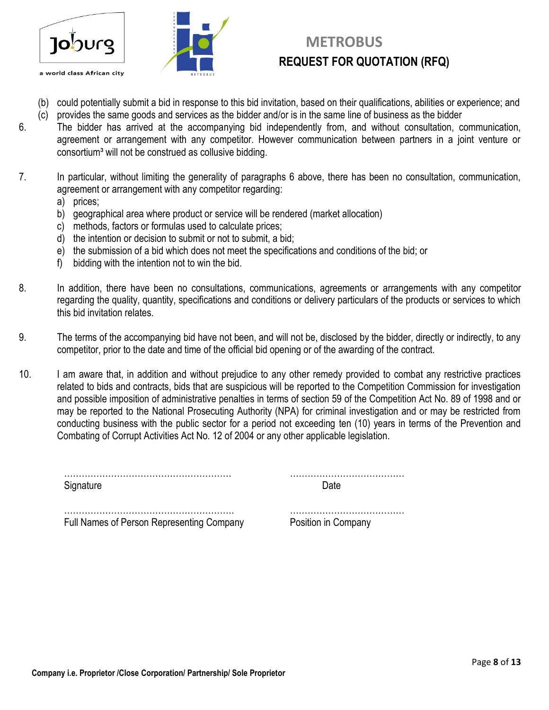

# **METROBUS**

- (b) could potentially submit a bid in response to this bid invitation, based on their qualifications, abilities or experience; and
- (c) provides the same goods and services as the bidder and/or is in the same line of business as the bidder
- 6. The bidder has arrived at the accompanying bid independently from, and without consultation, communication, agreement or arrangement with any competitor. However communication between partners in a joint venture or consortium<sup>3</sup> will not be construed as collusive bidding.
- 7. In particular, without limiting the generality of paragraphs 6 above, there has been no consultation, communication, agreement or arrangement with any competitor regarding:
	- a) prices;
	- b) geographical area where product or service will be rendered (market allocation)
	- c) methods, factors or formulas used to calculate prices;
	- d) the intention or decision to submit or not to submit, a bid;
	- e) the submission of a bid which does not meet the specifications and conditions of the bid; or
	- f) bidding with the intention not to win the bid.
- 8. In addition, there have been no consultations, communications, agreements or arrangements with any competitor regarding the quality, quantity, specifications and conditions or delivery particulars of the products or services to which this bid invitation relates.
- 9. The terms of the accompanying bid have not been, and will not be, disclosed by the bidder, directly or indirectly, to any competitor, prior to the date and time of the official bid opening or of the awarding of the contract.
- 10. I am aware that, in addition and without prejudice to any other remedy provided to combat any restrictive practices related to bids and contracts, bids that are suspicious will be reported to the Competition Commission for investigation and possible imposition of administrative penalties in terms of section 59 of the Competition Act No. 89 of 1998 and or may be reported to the National Prosecuting Authority (NPA) for criminal investigation and or may be restricted from conducting business with the public sector for a period not exceeding ten (10) years in terms of the Prevention and Combating of Corrupt Activities Act No. 12 of 2004 or any other applicable legislation.

Signature Date **Date** 

………………………………………………… …………………………………

…………………………………………………. ………………………………… Full Names of Person Representing Company Position in Company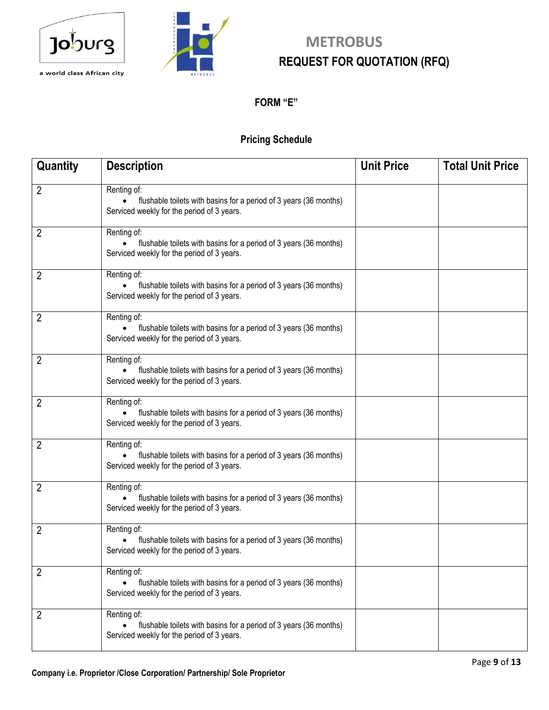



#### **FORM "E"**

#### **Pricing Schedule**

| Quantity | <b>Description</b>                                                                                                                          | <b>Unit Price</b> | <b>Total Unit Price</b> |
|----------|---------------------------------------------------------------------------------------------------------------------------------------------|-------------------|-------------------------|
| 2        | Renting of:<br>flushable toilets with basins for a period of 3 years (36 months)<br>Serviced weekly for the period of 3 years.              |                   |                         |
| 2        | Renting of:<br>flushable toilets with basins for a period of 3 years (36 months)<br>Serviced weekly for the period of 3 years.              |                   |                         |
| 2        | Renting of:<br>flushable toilets with basins for a period of 3 years (36 months)<br>Serviced weekly for the period of 3 years.              |                   |                         |
| 2        | Renting of:<br>flushable toilets with basins for a period of 3 years (36 months)<br>$\bullet$<br>Serviced weekly for the period of 3 years. |                   |                         |
| 2        | Renting of:<br>flushable toilets with basins for a period of 3 years (36 months)<br>$\bullet$<br>Serviced weekly for the period of 3 years. |                   |                         |
| 2        | Renting of:<br>flushable toilets with basins for a period of 3 years (36 months)<br>Serviced weekly for the period of 3 years.              |                   |                         |
| 2        | Renting of:<br>flushable toilets with basins for a period of 3 years (36 months)<br>Serviced weekly for the period of 3 years.              |                   |                         |
| 2        | Renting of:<br>flushable toilets with basins for a period of 3 years (36 months)<br>Serviced weekly for the period of 3 years.              |                   |                         |
| 2        | Renting of:<br>flushable toilets with basins for a period of 3 years (36 months)<br>Serviced weekly for the period of 3 years.              |                   |                         |
| 2        | Renting of:<br>flushable toilets with basins for a period of 3 years (36 months)<br>Serviced weekly for the period of 3 years.              |                   |                         |
| 2        | Renting of:<br>flushable toilets with basins for a period of 3 years (36 months)<br>Serviced weekly for the period of 3 years.              |                   |                         |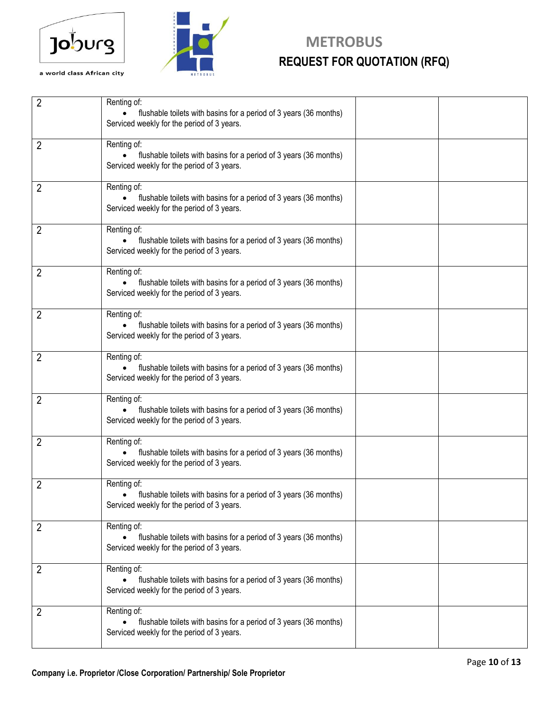



# **Joburg** METROBUS **REQUEST FOR QUOTATION (RFQ)**<br>a world class African city

| $\overline{2}$ | Renting of:<br>flushable toilets with basins for a period of 3 years (36 months)<br>Serviced weekly for the period of 3 years.   |
|----------------|----------------------------------------------------------------------------------------------------------------------------------|
| $\overline{2}$ | Renting of:<br>flushable toilets with basins for a period of 3 years (36 months)<br>Serviced weekly for the period of 3 years.   |
| $\overline{2}$ | Renting of:<br>flushable toilets with basins for a period of 3 years (36 months)<br>Serviced weekly for the period of 3 years.   |
| $\overline{2}$ | Renting of:<br>flushable toilets with basins for a period of 3 years (36 months)<br>Serviced weekly for the period of 3 years.   |
| $\overline{2}$ | Renting of:<br>flushable toilets with basins for a period of 3 years (36 months)<br>Serviced weekly for the period of 3 years.   |
| 2              | Renting of:<br>flushable toilets with basins for a period of 3 years (36 months)<br>Serviced weekly for the period of 3 years.   |
| $\overline{2}$ | Renting of:<br>flushable toilets with basins for a period of 3 years (36 months)<br>Serviced weekly for the period of 3 years.   |
| $\overline{2}$ | Renting of:<br>flushable toilets with basins for a period of 3 years (36 months)<br>Serviced weekly for the period of 3 years.   |
| $\overline{2}$ | Renting of:<br>flushable toilets with basins for a period of 3 years (36 months)<br>Serviced weekly for the period of 3 years.   |
| $\overline{2}$ | Renting of:<br>• flushable toilets with basins for a period of 3 years (36 months)<br>Serviced weekly for the period of 3 years. |
| $\overline{2}$ | Renting of:<br>flushable toilets with basins for a period of 3 years (36 months)<br>Serviced weekly for the period of 3 years.   |
| $\overline{2}$ | Renting of:<br>flushable toilets with basins for a period of 3 years (36 months)<br>Serviced weekly for the period of 3 years.   |
| $\overline{2}$ | Renting of:<br>flushable toilets with basins for a period of 3 years (36 months)<br>Serviced weekly for the period of 3 years.   |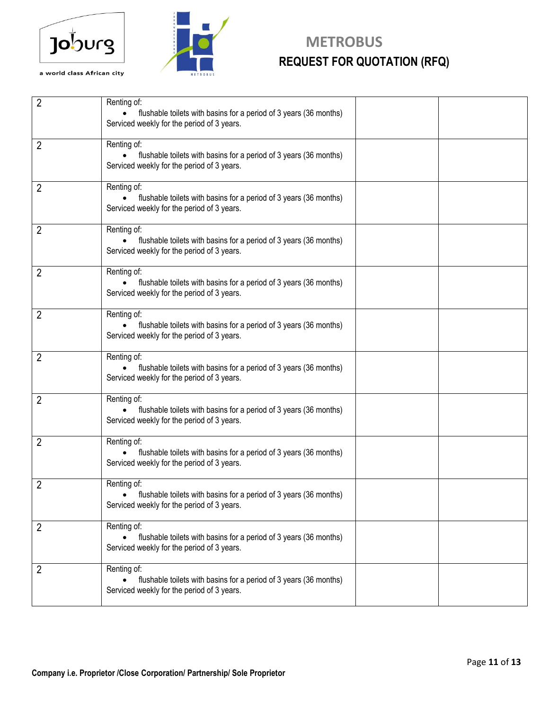



# **Joburg** METROBUS **REQUEST FOR QUOTATION (RFQ)**

| $\overline{2}$ | Renting of:<br>flushable toilets with basins for a period of 3 years (36 months)<br>$\bullet$<br>Serviced weekly for the period of 3 years. |  |
|----------------|---------------------------------------------------------------------------------------------------------------------------------------------|--|
| $\overline{2}$ | Renting of:<br>flushable toilets with basins for a period of 3 years (36 months)<br>Serviced weekly for the period of 3 years.              |  |
| 2              | Renting of:<br>flushable toilets with basins for a period of 3 years (36 months)<br>Serviced weekly for the period of 3 years.              |  |
| 2              | Renting of:<br>flushable toilets with basins for a period of 3 years (36 months)<br>Serviced weekly for the period of 3 years.              |  |
| 2              | Renting of:<br>flushable toilets with basins for a period of 3 years (36 months)<br>Serviced weekly for the period of 3 years.              |  |
| 2              | Renting of:<br>flushable toilets with basins for a period of 3 years (36 months)<br>Serviced weekly for the period of 3 years.              |  |
| 2              | Renting of:<br>flushable toilets with basins for a period of 3 years (36 months)<br>Serviced weekly for the period of 3 years.              |  |
| 2              | Renting of:<br>flushable toilets with basins for a period of 3 years (36 months)<br>Serviced weekly for the period of 3 years.              |  |
| 2              | Renting of:<br>flushable toilets with basins for a period of 3 years (36 months)<br>Serviced weekly for the period of 3 years.              |  |
| 2              | Renting of:<br>• flushable toilets with basins for a period of 3 years (36 months)<br>Serviced weekly for the period of 3 years.            |  |
| $\overline{2}$ | Renting of:<br>flushable toilets with basins for a period of 3 years (36 months)<br>Serviced weekly for the period of 3 years.              |  |
| 2              | Renting of:<br>flushable toilets with basins for a period of 3 years (36 months)<br>Serviced weekly for the period of 3 years.              |  |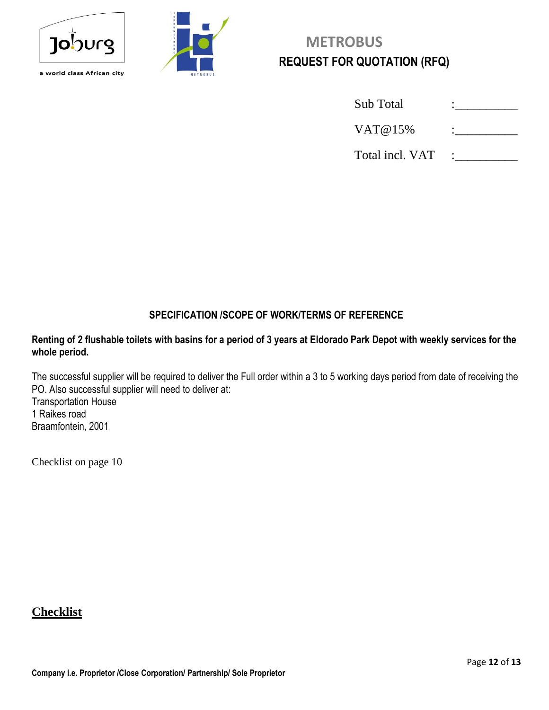



| <b>Sub</b> Total |  |
|------------------|--|
| VAT@15%          |  |
| Total incl. VAT  |  |

#### **SPECIFICATION /SCOPE OF WORK/TERMS OF REFERENCE**

#### **Renting of 2 flushable toilets with basins for a period of 3 years at Eldorado Park Depot with weekly services for the whole period.**

The successful supplier will be required to deliver the Full order within a 3 to 5 working days period from date of receiving the PO. Also successful supplier will need to deliver at: Transportation House 1 Raikes road Braamfontein, 2001

Checklist on page 10

#### **Checklist**